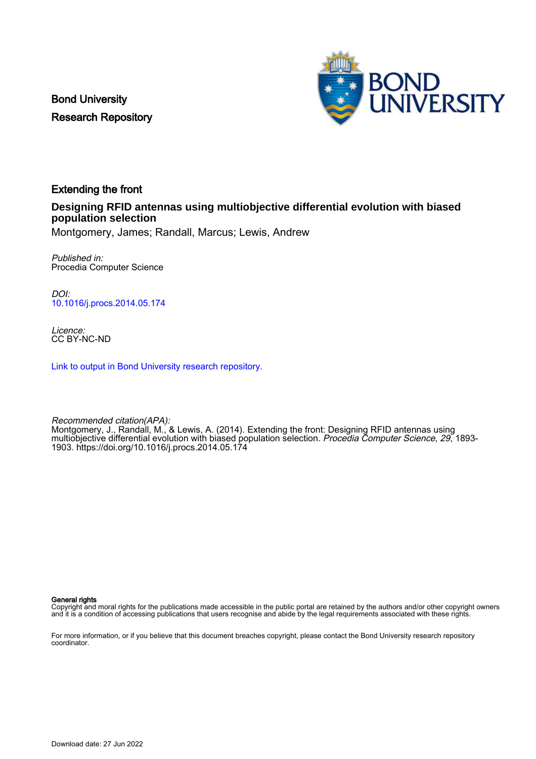Bond University Research Repository



## Extending the front

### **Designing RFID antennas using multiobjective differential evolution with biased population selection**

Montgomery, James; Randall, Marcus; Lewis, Andrew

Published in: Procedia Computer Science

DOI: [10.1016/j.procs.2014.05.174](https://doi.org/10.1016/j.procs.2014.05.174)

Licence: CC BY-NC-ND

[Link to output in Bond University research repository.](https://research.bond.edu.au/en/publications/f9b5d0b3-e19e-4d99-8694-03445ab65ca7)

Recommended citation(APA): Montgomery, J., Randall, M., & Lewis, A. (2014). Extending the front: Designing RFID antennas using multiobjective differential evolution with biased population selection. Procedia Computer Science, 29, 1893-<br>multiobjective differential evolution with biased population selection. Procedia Computer Science, 29, 1893-1903. <https://doi.org/10.1016/j.procs.2014.05.174>

General rights

Copyright and moral rights for the publications made accessible in the public portal are retained by the authors and/or other copyright owners and it is a condition of accessing publications that users recognise and abide by the legal requirements associated with these rights.

For more information, or if you believe that this document breaches copyright, please contact the Bond University research repository coordinator.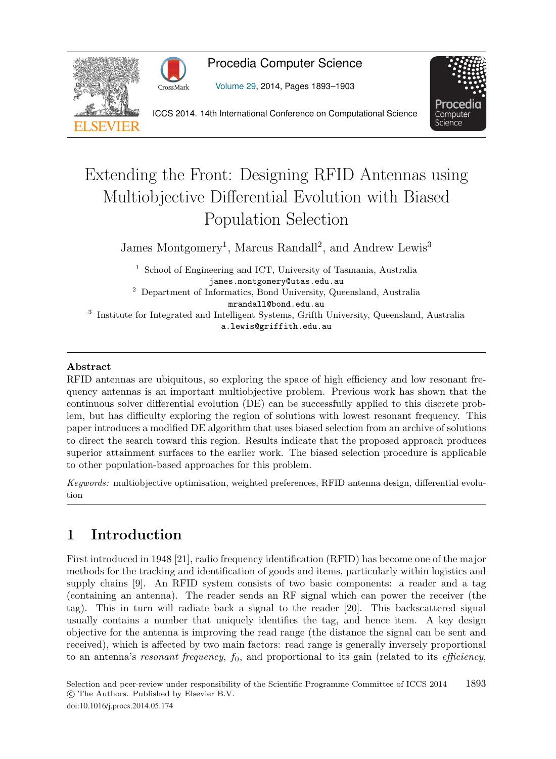



## Procedia Computer Science

Volume 29, 2014, Pages 1893–1903



ICCS 2014. 14th International Conference on Computational Science

# Extending the Front: Designing RFID Antennas using Multiobjective Differential Evolution with Biased Population Selection

James Montgomery<sup>1</sup>, Marcus Randall<sup>2</sup>, and Andrew Lewis<sup>3</sup>

<sup>1</sup> School of Engineering and ICT, University of Tasmania, Australia james.montgomery@utas.edu.au 2<br>2 Department of Informatics, Bond University, Queensland, Australia

mrandall@bond.edu.au  $^3$  Institute for Integrated and Intelligent Systems, Grifth University, Queensland, Australia a.lewis@griffith.edu.au

#### **Abstract**

RFID antennas are ubiquitous, so exploring the space of high efficiency and low resonant frequency antennas is an important multiobjective problem. Previous work has shown that the continuous solver differential evolution (DE) can be successfully applied to this discrete problem, but has difficulty exploring the region of solutions with lowest resonant frequency. This paper introduces a modified DE algorithm that uses biased selection from an archive of solutions to direct the search toward this region. Results indicate that the proposed approach produces superior attainment surfaces to the earlier work. The biased selection procedure is applicable to other population-based approaches for this problem.

Keywords: multiobjective optimisation, weighted preferences, RFID antenna design, differential evolution

## **1 Introduction**

First introduced in 1948 [21], radio frequency identification (RFID) has become one of the major methods for the tracking and identification of goods and items, particularly within logistics and supply chains [9]. An RFID system consists of two basic components: a reader and a tag (containing an antenna). The reader sends an RF signal which can power the receiver (the tag). This in turn will radiate back a signal to the reader [20]. This backscattered signal usually contains a number that uniquely identifies the tag, and hence item. A key design objective for the antenna is improving the read range (the distance the signal can be sent and received), which is affected by two main factors: read range is generally inversely proportional to an antenna's resonant frequency,  $f_0$ , and proportional to its gain (related to its efficiency,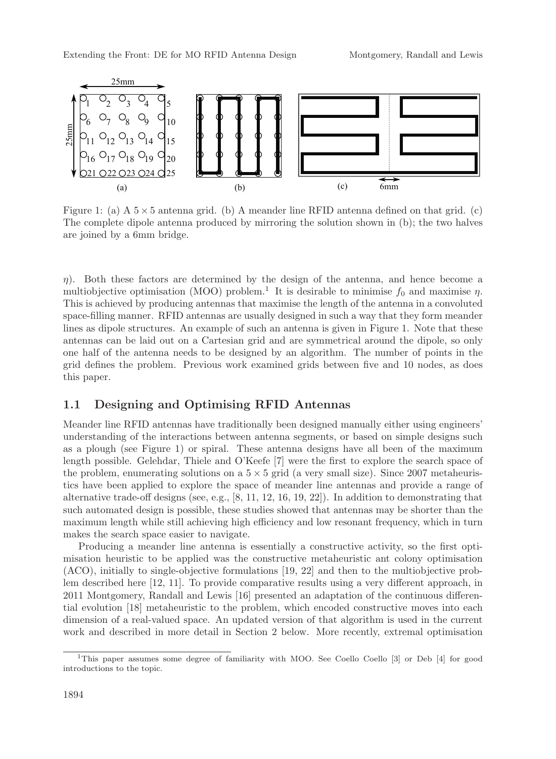

Figure 1: (a)  $A$  5  $\times$  5 antenna grid. (b) A meander line RFID antenna defined on that grid. (c) The complete dipole antenna produced by mirroring the solution shown in (b); the two halves are joined by a 6mm bridge.

 $\eta$ ). Both these factors are determined by the design of the antenna, and hence become a multiobjective optimisation (MOO) problem.<sup>1</sup> It is desirable to minimise  $f_0$  and maximise  $\eta$ . This is achieved by producing antennas that maximise the length of the antenna in a convoluted space-filling manner. RFID antennas are usually designed in such a way that they form meander lines as dipole structures. An example of such an antenna is given in Figure 1. Note that these antennas can be laid out on a Cartesian grid and are symmetrical around the dipole, so only one half of the antenna needs to be designed by an algorithm. The number of points in the grid defines the problem. Previous work examined grids between five and 10 nodes, as does this paper.

#### **1.1 Designing and Optimising RFID Antennas**

Meander line RFID antennas have traditionally been designed manually either using engineers' understanding of the interactions between antenna segments, or based on simple designs such as a plough (see Figure 1) or spiral. These antenna designs have all been of the maximum length possible. Gelehdar, Thiele and O'Keefe [7] were the first to explore the search space of the problem, enumerating solutions on a  $5 \times 5$  grid (a very small size). Since 2007 metaheuristics have been applied to explore the space of meander line antennas and provide a range of alternative trade-off designs (see, e.g.,  $[8, 11, 12, 16, 19, 22]$ ). In addition to demonstrating that such automated design is possible, these studies showed that antennas may be shorter than the maximum length while still achieving high efficiency and low resonant frequency, which in turn makes the search space easier to navigate.

Producing a meander line antenna is essentially a constructive activity, so the first optimisation heuristic to be applied was the constructive metaheuristic ant colony optimisation (ACO), initially to single-objective formulations [19, 22] and then to the multiobjective problem described here [12, 11]. To provide comparative results using a very different approach, in 2011 Montgomery, Randall and Lewis [16] presented an adaptation of the continuous differential evolution [18] metaheuristic to the problem, which encoded constructive moves into each dimension of a real-valued space. An updated version of that algorithm is used in the current work and described in more detail in Section 2 below. More recently, extremal optimisation

<sup>1</sup>This paper assumes some degree of familiarity with MOO. See Coello Coello [3] or Deb [4] for good introductions to the topic.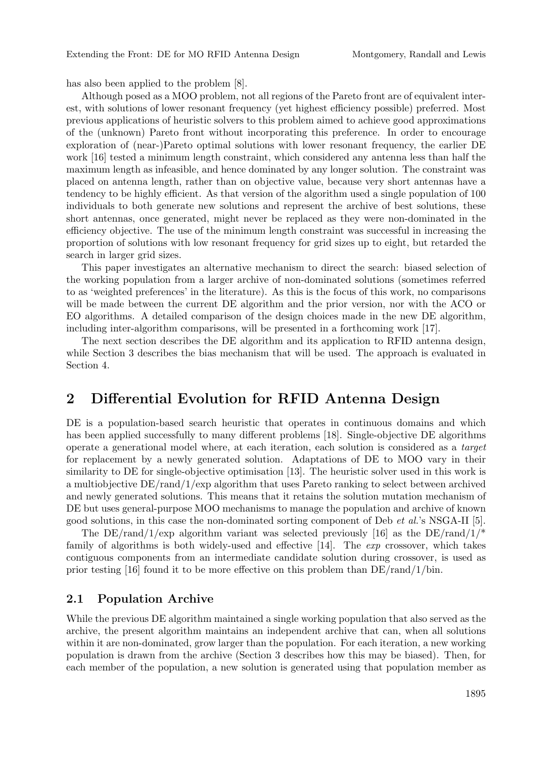has also been applied to the problem [8].

Although posed as a MOO problem, not all regions of the Pareto front are of equivalent interest, with solutions of lower resonant frequency (yet highest efficiency possible) preferred. Most previous applications of heuristic solvers to this problem aimed to achieve good approximations of the (unknown) Pareto front without incorporating this preference. In order to encourage exploration of (near-)Pareto optimal solutions with lower resonant frequency, the earlier DE work [16] tested a minimum length constraint, which considered any antenna less than half the maximum length as infeasible, and hence dominated by any longer solution. The constraint was placed on antenna length, rather than on objective value, because very short antennas have a tendency to be highly efficient. As that version of the algorithm used a single population of 100 individuals to both generate new solutions and represent the archive of best solutions, these short antennas, once generated, might never be replaced as they were non-dominated in the efficiency objective. The use of the minimum length constraint was successful in increasing the proportion of solutions with low resonant frequency for grid sizes up to eight, but retarded the search in larger grid sizes.

This paper investigates an alternative mechanism to direct the search: biased selection of the working population from a larger archive of non-dominated solutions (sometimes referred to as 'weighted preferences' in the literature). As this is the focus of this work, no comparisons will be made between the current DE algorithm and the prior version, nor with the ACO or EO algorithms. A detailed comparison of the design choices made in the new DE algorithm, including inter-algorithm comparisons, will be presented in a forthcoming work [17].

The next section describes the DE algorithm and its application to RFID antenna design, while Section 3 describes the bias mechanism that will be used. The approach is evaluated in Section 4.

## **2 Differential Evolution for RFID Antenna Design**

DE is a population-based search heuristic that operates in continuous domains and which has been applied successfully to many different problems [18]. Single-objective DE algorithms operate a generational model where, at each iteration, each solution is considered as a target for replacement by a newly generated solution. Adaptations of DE to MOO vary in their similarity to DE for single-objective optimisation [13]. The heuristic solver used in this work is a multiobjective DE/rand/1/exp algorithm that uses Pareto ranking to select between archived and newly generated solutions. This means that it retains the solution mutation mechanism of DE but uses general-purpose MOO mechanisms to manage the population and archive of known good solutions, in this case the non-dominated sorting component of Deb et al.'s NSGA-II [5].

The DE/rand/1/exp algorithm variant was selected previously [16] as the DE/rand/1/<sup>\*</sup> family of algorithms is both widely-used and effective  $[14]$ . The *exp* crossover, which takes contiguous components from an intermediate candidate solution during crossover, is used as prior testing [16] found it to be more effective on this problem than  $DE/rand/1/bin$ .

#### **2.1 Population Archive**

While the previous DE algorithm maintained a single working population that also served as the archive, the present algorithm maintains an independent archive that can, when all solutions within it are non-dominated, grow larger than the population. For each iteration, a new working population is drawn from the archive (Section 3 describes how this may be biased). Then, for each member of the population, a new solution is generated using that population member as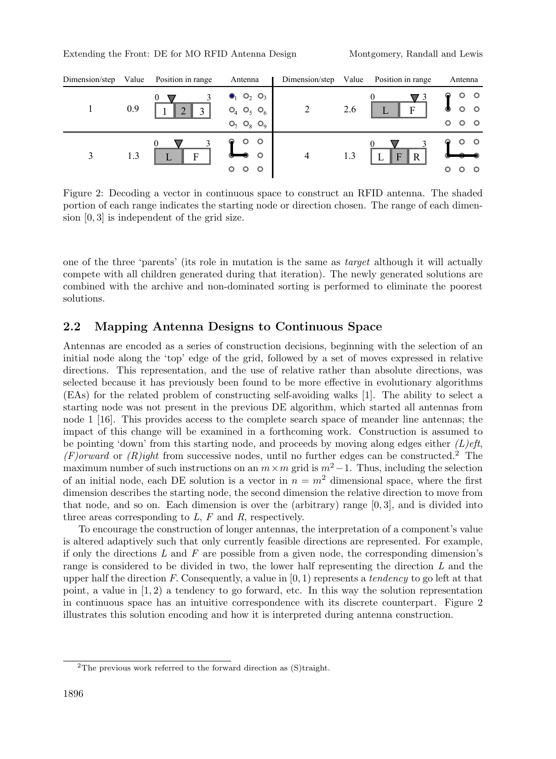| Dimension/step | Value | Position in range             | Antenna                                                                                                              | Dimension/step | Value | Position in range             | Antenna                                                       |  |
|----------------|-------|-------------------------------|----------------------------------------------------------------------------------------------------------------------|----------------|-------|-------------------------------|---------------------------------------------------------------|--|
|                | 0.9   | U<br>$\Omega$<br>$\mathbf{c}$ | $\bullet$ <sub>1</sub> O <sub>2</sub> O <sub>3</sub><br>$O_4$ $O_5$<br>O <sub>6</sub><br>$O_7 O_8$<br>O <sub>9</sub> | 2              | 2.6   | F                             | $\circ$<br>$\circ$<br>$\circ$<br>◉<br>$\circ$<br>$\circ$<br>O |  |
| 3              | 1.3   | $\mathbf{F}$                  | O<br>$\circ$<br>$\circ$<br>$\circ$<br>O                                                                              | $\overline{4}$ | 1.3   | $\mathbf R$<br>$\overline{F}$ | $\circ$<br>O<br>$\circ$                                       |  |

Figure 2: Decoding a vector in continuous space to construct an RFID antenna. The shaded portion of each range indicates the starting node or direction chosen. The range of each dimension [0, 3] is independent of the grid size.

one of the three 'parents' (its role in mutation is the same as target although it will actually compete with all children generated during that iteration). The newly generated solutions are combined with the archive and non-dominated sorting is performed to eliminate the poorest solutions.

#### **2.2 Mapping Antenna Designs to Continuous Space**

Antennas are encoded as a series of construction decisions, beginning with the selection of an initial node along the 'top' edge of the grid, followed by a set of moves expressed in relative directions. This representation, and the use of relative rather than absolute directions, was selected because it has previously been found to be more effective in evolutionary algorithms (EAs) for the related problem of constructing self-avoiding walks [1]. The ability to select a starting node was not present in the previous DE algorithm, which started all antennas from node 1 [16]. This provides access to the complete search space of meander line antennas; the impact of this change will be examined in a forthcoming work. Construction is assumed to be pointing 'down' from this starting node, and proceeds by moving along edges either  $(L)$ eft, (F)orward or (R)ight from successive nodes, until no further edges can be constructed.<sup>2</sup> The maximum number of such instructions on an  $m \times m$  grid is  $m^2-1$ . Thus, including the selection of an initial node, each DE solution is a vector in  $n = m^2$  dimensional space, where the first dimension describes the starting node, the second dimension the relative direction to move from that node, and so on. Each dimension is over the (arbitrary) range  $[0,3]$ , and is divided into three areas corresponding to  $L$ ,  $F$  and  $R$ , respectively.

To encourage the construction of longer antennas, the interpretation of a component's value is altered adaptively such that only currently feasible directions are represented. For example, if only the directions  $L$  and  $F$  are possible from a given node, the corresponding dimension's range is considered to be divided in two, the lower half representing the direction L and the upper half the direction F. Consequently, a value in  $[0, 1)$  represents a tendency to go left at that point, a value in  $(1, 2)$  a tendency to go forward, etc. In this way the solution representation in continuous space has an intuitive correspondence with its discrete counterpart. Figure 2 illustrates this solution encoding and how it is interpreted during antenna construction.

<sup>2</sup>The previous work referred to the forward direction as (S)traight.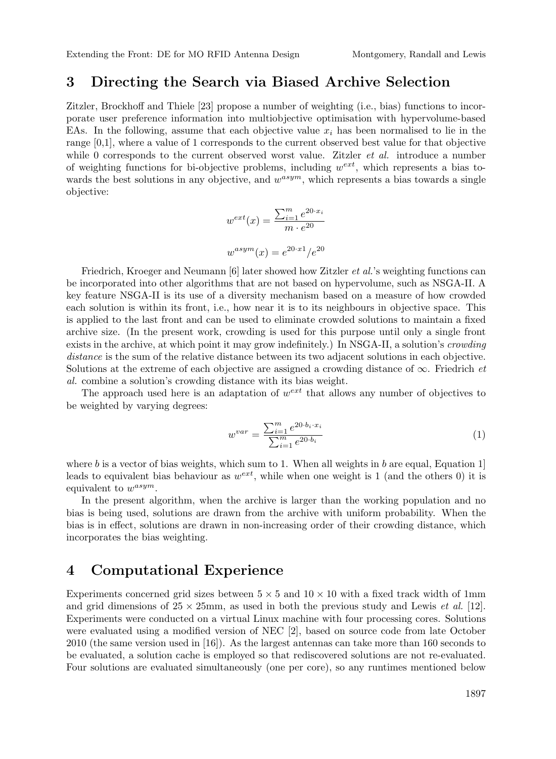#### **3 Directing the Search via Biased Archive Selection**

Zitzler, Brockhoff and Thiele [23] propose a number of weighting (i.e., bias) functions to incorporate user preference information into multiobjective optimisation with hypervolume-based EAs. In the following, assume that each objective value  $x_i$  has been normalised to lie in the range [0,1], where a value of 1 corresponds to the current observed best value for that objective while 0 corresponds to the current observed worst value. Zitzler *et al.* introduce a number of weighting functions for bi-objective problems, including  $w^{ext}$ , which represents a bias towards the best solutions in any objective, and  $w^{asym}$ , which represents a bias towards a single objective:

$$
w^{ext}(x) = \frac{\sum_{i=1}^{m} e^{20 \cdot x_i}}{m \cdot e^{20}}
$$

$$
w^{asym}(x) = e^{20 \cdot x^1} / e^{20}
$$

Friedrich, Kroeger and Neumann [6] later showed how Zitzler *et al.*'s weighting functions can be incorporated into other algorithms that are not based on hypervolume, such as NSGA-II. A key feature NSGA-II is its use of a diversity mechanism based on a measure of how crowded each solution is within its front, i.e., how near it is to its neighbours in objective space. This is applied to the last front and can be used to eliminate crowded solutions to maintain a fixed archive size. (In the present work, crowding is used for this purpose until only a single front exists in the archive, at which point it may grow indefinitely.) In NSGA-II, a solution's *crowding* distance is the sum of the relative distance between its two adjacent solutions in each objective. Solutions at the extreme of each objective are assigned a crowding distance of  $\infty$ . Friedrich *et* al. combine a solution's crowding distance with its bias weight.

The approach used here is an adaptation of  $w^{ext}$  that allows any number of objectives to be weighted by varying degrees:

$$
w^{var} = \frac{\sum_{i=1}^{m} e^{20 \cdot b_i \cdot x_i}}{\sum_{i=1}^{m} e^{20 \cdot b_i}}\tag{1}
$$

where b is a vector of bias weights, which sum to 1. When all weights in b are equal, Equation 1. leads to equivalent bias behaviour as  $w^{ext}$ , while when one weight is 1 (and the others 0) it is equivalent to  $w^{asym}$ .

In the present algorithm, when the archive is larger than the working population and no bias is being used, solutions are drawn from the archive with uniform probability. When the bias is in effect, solutions are drawn in non-increasing order of their crowding distance, which incorporates the bias weighting.

#### **4 Computational Experience**

Experiments concerned grid sizes between  $5 \times 5$  and  $10 \times 10$  with a fixed track width of 1mm and grid dimensions of  $25 \times 25$ mm, as used in both the previous study and Lewis *et al.* [12]. Experiments were conducted on a virtual Linux machine with four processing cores. Solutions were evaluated using a modified version of NEC [2], based on source code from late October 2010 (the same version used in [16]). As the largest antennas can take more than 160 seconds to be evaluated, a solution cache is employed so that rediscovered solutions are not re-evaluated. Four solutions are evaluated simultaneously (one per core), so any runtimes mentioned below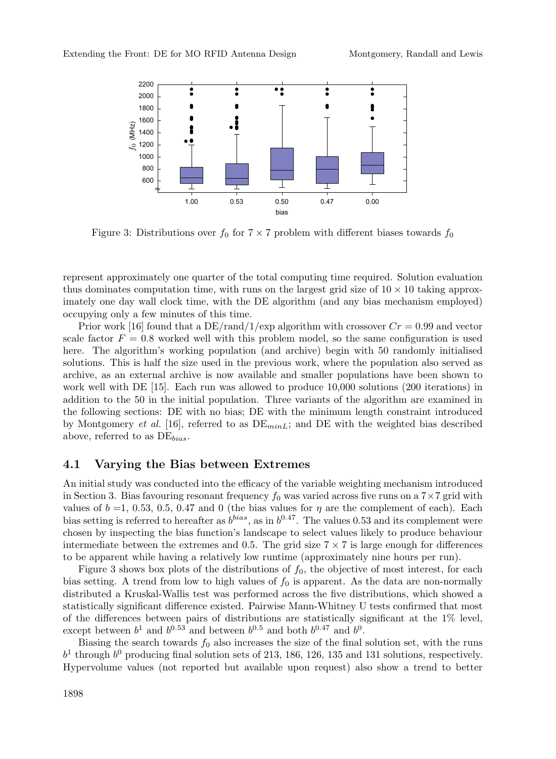

Figure 3: Distributions over  $f_0$  for  $7 \times 7$  problem with different biases towards  $f_0$ 

represent approximately one quarter of the total computing time required. Solution evaluation thus dominates computation time, with runs on the largest grid size of  $10 \times 10$  taking approximately one day wall clock time, with the DE algorithm (and any bias mechanism employed) occupying only a few minutes of this time.

Prior work [16] found that a  $DE/rand/1/exp$  algorithm with crossover  $Cr = 0.99$  and vector scale factor  $F = 0.8$  worked well with this problem model, so the same configuration is used here. The algorithm's working population (and archive) begin with 50 randomly initialised solutions. This is half the size used in the previous work, where the population also served as archive, as an external archive is now available and smaller populations have been shown to work well with DE [15]. Each run was allowed to produce 10,000 solutions (200 iterations) in addition to the 50 in the initial population. Three variants of the algorithm are examined in the following sections: DE with no bias; DE with the minimum length constraint introduced by Montgomery *et al.* [16], referred to as  $DE_{minL}$ ; and DE with the weighted bias described above, referred to as  $DE_{bias}$ .

#### **4.1 Varying the Bias between Extremes**

An initial study was conducted into the efficacy of the variable weighting mechanism introduced in Section 3. Bias favouring resonant frequency  $f_0$  was varied across five runs on a  $7 \times 7$  grid with values of  $b = 1, 0.53, 0.5, 0.47$  and 0 (the bias values for  $\eta$  are the complement of each). Each bias setting is referred to hereafter as  $b^{bias}$ , as in  $b^{0.47}$ . The values 0.53 and its complement were chosen by inspecting the bias function's landscape to select values likely to produce behaviour intermediate between the extremes and 0.5. The grid size  $7 \times 7$  is large enough for differences to be apparent while having a relatively low runtime (approximately nine hours per run).

Figure 3 shows box plots of the distributions of  $f_0$ , the objective of most interest, for each bias setting. A trend from low to high values of  $f_0$  is apparent. As the data are non-normally distributed a Kruskal-Wallis test was performed across the five distributions, which showed a statistically significant difference existed. Pairwise Mann-Whitney U tests confirmed that most of the differences between pairs of distributions are statistically significant at the 1% level, except between  $b^1$  and  $b^{0.53}$  and between  $b^{0.5}$  and both  $b^{0.47}$  and  $b^0$ .

Biasing the search towards  $f_0$  also increases the size of the final solution set, with the runs  $b<sup>1</sup>$  through  $b<sup>0</sup>$  producing final solution sets of 213, 186, 126, 135 and 131 solutions, respectively. Hypervolume values (not reported but available upon request) also show a trend to better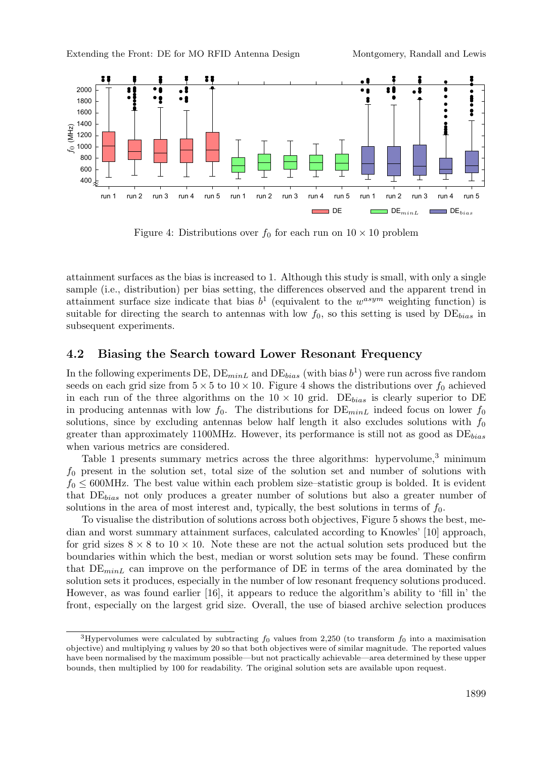

Figure 4: Distributions over  $f_0$  for each run on  $10 \times 10$  problem

attainment surfaces as the bias is increased to 1. Although this study is small, with only a single sample (i.e., distribution) per bias setting, the differences observed and the apparent trend in attainment surface size indicate that bias  $b^1$  (equivalent to the  $w^{asym}$  weighting function) is suitable for directing the search to antennas with low  $f_0$ , so this setting is used by  $DE_{bias}$  in subsequent experiments.

#### **4.2 Biasing the Search toward Lower Resonant Frequency**

In the following experiments DE,  $DE_{minL}$  and  $DE_{bias}$  (with bias  $b^1$ ) were run across five random seeds on each grid size from  $5 \times 5$  to  $10 \times 10$ . Figure 4 shows the distributions over  $f_0$  achieved in each run of the three algorithms on the  $10 \times 10$  grid. DE<sub>bias</sub> is clearly superior to DE in producing antennas with low  $f_0$ . The distributions for  $DE_{minL}$  indeed focus on lower  $f_0$ solutions, since by excluding antennas below half length it also excludes solutions with  $f_0$ greater than approximately 1100MHz. However, its performance is still not as good as  $DE_{bias}$ when various metrics are considered.

Table 1 presents summary metrics across the three algorithms: hypervolume, $3$  minimum  $f_0$  present in the solution set, total size of the solution set and number of solutions with  $f_0 \leq 600$ MHz. The best value within each problem size–statistic group is bolded. It is evident that  $DE_{bias}$  not only produces a greater number of solutions but also a greater number of solutions in the area of most interest and, typically, the best solutions in terms of  $f_0$ .

To visualise the distribution of solutions across both objectives, Figure 5 shows the best, median and worst summary attainment surfaces, calculated according to Knowles' [10] approach, for grid sizes  $8 \times 8$  to  $10 \times 10$ . Note these are not the actual solution sets produced but the boundaries within which the best, median or worst solution sets may be found. These confirm that  $DE_{minL}$  can improve on the performance of DE in terms of the area dominated by the solution sets it produces, especially in the number of low resonant frequency solutions produced. However, as was found earlier [16], it appears to reduce the algorithm's ability to 'fill in' the front, especially on the largest grid size. Overall, the use of biased archive selection produces

<sup>&</sup>lt;sup>3</sup>Hypervolumes were calculated by subtracting  $f_0$  values from 2,250 (to transform  $f_0$  into a maximisation objective) and multiplying  $\eta$  values by 20 so that both objectives were of similar magnitude. The reported values have been normalised by the maximum possible—but not practically achievable—area determined by these upper bounds, then multiplied by 100 for readability. The original solution sets are available upon request.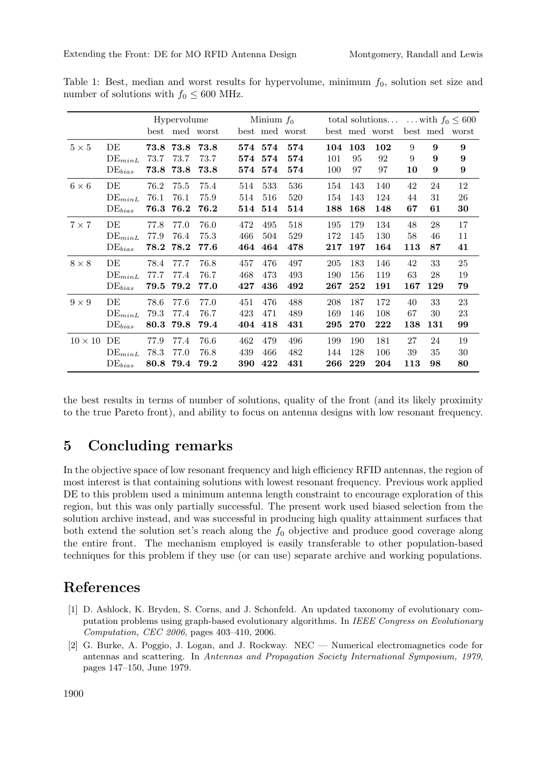|                |                      | Hypervolume |           |                |     | Minium $f_0$ |                |     |     |                |     | total solutions  with $f_0 \leq 600$ |                |  |
|----------------|----------------------|-------------|-----------|----------------|-----|--------------|----------------|-----|-----|----------------|-----|--------------------------------------|----------------|--|
|                |                      |             |           | best med worst |     |              | best med worst |     |     | best med worst |     |                                      | best med worst |  |
| $5 \times 5$   | DE                   |             | 73.8 73.8 | 73.8           |     | 574 574      | 574            | 104 | 103 | 102            | 9   | 9                                    | 9              |  |
|                | $DE_{minL}$          | 73.7        | 73.7      | 73.7           | 574 | 574          | 574            | 101 | 95  | 92             | 9   | 9                                    | 9              |  |
|                | $DE_{bias}$          | 73.8        | 73.8      | 73.8           | 574 | 574          | 574            | 100 | 97  | 97             | 10  | 9                                    | 9              |  |
| $6 \times 6$   | DE                   | 76.2        | 75.5      | 75.4           | 514 | 533          | 536            | 154 | 143 | 140            | 42  | 24                                   | 12             |  |
|                | $DE_{minL}$          | 76.1        | 76.1      | 75.9           | 514 | 516          | 520            | 154 | 143 | 124            | 44  | 31                                   | 26             |  |
|                | $DE_{bias}$          | 76.3        | 76.2      | 76.2           | 514 | 514          | 514            | 188 | 168 | 148            | 67  | 61                                   | 30             |  |
| $7 \times 7$   | DE                   | 77.8        | 77.0      | 76.0           | 472 | 495          | 518            | 195 | 179 | 134            | 48  | 28                                   | 17             |  |
|                | $DE_{minL}$          | 77.9        | 76.4      | 75.3           | 466 | 504          | 529            | 172 | 145 | 130            | 58  | 46                                   | 11             |  |
|                | $DE_{bias}$          | 78.2        | 78.2      | 77.6           | 464 | 464          | 478            | 217 | 197 | 164            | 113 | 87                                   | 41             |  |
| $8 \times 8$   | DE                   | 78.4        | 77.7      | 76.8           | 457 | 476          | 497            | 205 | 183 | 146            | 42  | 33                                   | 25             |  |
|                | $DE_{minL}$          | 77.7        | 77.4      | 76.7           | 468 | 473          | 493            | 190 | 156 | 119            | 63  | 28                                   | 19             |  |
|                | $DE_{bias}$          | 79.5        | 79.2      | 77.0           | 427 | 436          | 492            | 267 | 252 | 191            | 167 | 129                                  | 79             |  |
| $9 \times 9$   | DE                   | 78.6        | 77.6      | 77.0           | 451 | 476          | 488            | 208 | 187 | 172            | 40  | 33                                   | 23             |  |
|                | $DE_{minL}$          | 79.3        | 77.4      | 76.7           | 423 | 471          | 489            | 169 | 146 | 108            | 67  | 30                                   | 23             |  |
|                | $\mathrm{DE}_{bias}$ | 80.3        | 79.8      | 79.4           | 404 | 418          | 431            | 295 | 270 | 222            | 138 | 131                                  | 99             |  |
| $10 \times 10$ | DE                   | 77.9        | 77.4      | 76.6           | 462 | 479          | 496            | 199 | 190 | 181            | 27  | 24                                   | 19             |  |
|                | $DE_{minL}$          | 78.3        | 77.0      | 76.8           | 439 | 466          | 482            | 144 | 128 | 106            | 39  | 35                                   | 30             |  |
|                | $DE_{bias}$          | 80.8        | 79.4      | 79.2           | 390 | 422          | 431            | 266 | 229 | 204            | 113 | 98                                   | 80             |  |

Table 1: Best, median and worst results for hypervolume, minimum  $f_0$ , solution set size and number of solutions with  $f_0 \leq 600$  MHz.

the best results in terms of number of solutions, quality of the front (and its likely proximity to the true Pareto front), and ability to focus on antenna designs with low resonant frequency.

## **5 Concluding remarks**

In the objective space of low resonant frequency and high efficiency RFID antennas, the region of most interest is that containing solutions with lowest resonant frequency. Previous work applied DE to this problem used a minimum antenna length constraint to encourage exploration of this region, but this was only partially successful. The present work used biased selection from the solution archive instead, and was successful in producing high quality attainment surfaces that both extend the solution set's reach along the  $f_0$  objective and produce good coverage along the entire front. The mechanism employed is easily transferable to other population-based techniques for this problem if they use (or can use) separate archive and working populations.

## **References**

- [1] D. Ashlock, K. Bryden, S. Corns, and J. Schonfeld. An updated taxonomy of evolutionary computation problems using graph-based evolutionary algorithms. In IEEE Congress on Evolutionary Computation, CEC 2006, pages 403–410, 2006.
- [2] G. Burke, A. Poggio, J. Logan, and J. Rockway. NEC Numerical electromagnetics code for antennas and scattering. In Antennas and Propagation Society International Symposium, 1979, pages 147–150, June 1979.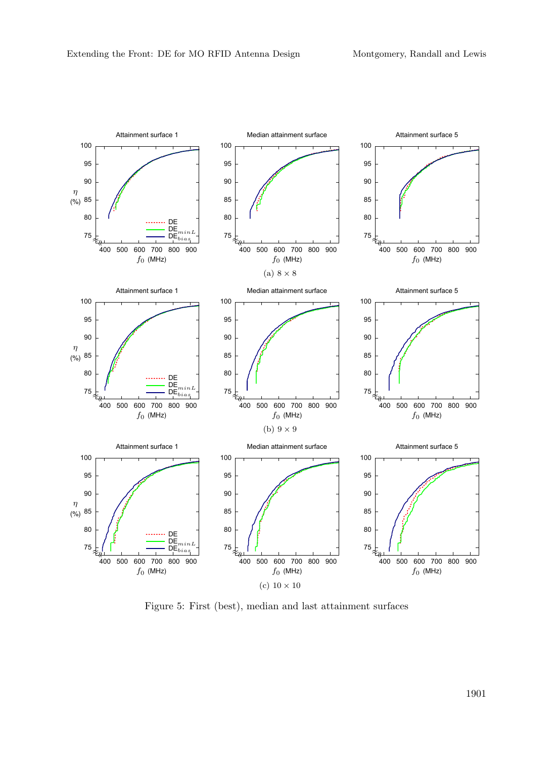

Figure 5: First (best), median and last attainment surfaces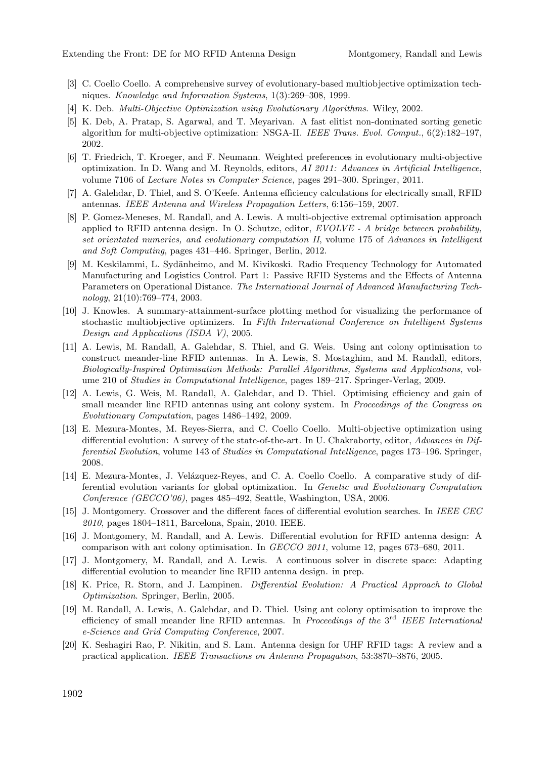- [3] C. Coello Coello. A comprehensive survey of evolutionary-based multiobjective optimization techniques. Knowledge and Information Systems, 1(3):269–308, 1999.
- [4] K. Deb. Multi-Objective Optimization using Evolutionary Algorithms. Wiley, 2002.
- [5] K. Deb, A. Pratap, S. Agarwal, and T. Meyarivan. A fast elitist non-dominated sorting genetic algorithm for multi-objective optimization: NSGA-II. IEEE Trans. Evol. Comput., 6(2):182–197, 2002.
- [6] T. Friedrich, T. Kroeger, and F. Neumann. Weighted preferences in evolutionary multi-objective optimization. In D. Wang and M. Reynolds, editors, AI 2011: Advances in Artificial Intelligence, volume 7106 of Lecture Notes in Computer Science, pages 291–300. Springer, 2011.
- [7] A. Galehdar, D. Thiel, and S. O'Keefe. Antenna efficiency calculations for electrically small, RFID antennas. IEEE Antenna and Wireless Propagation Letters, 6:156–159, 2007.
- [8] P. Gomez-Meneses, M. Randall, and A. Lewis. A multi-objective extremal optimisation approach applied to RFID antenna design. In O. Schutze, editor, EVOLVE - A bridge between probability, set orientated numerics, and evolutionary computation II, volume 175 of Advances in Intelligent and Soft Computing, pages 431–446. Springer, Berlin, 2012.
- [9] M. Keskilammi, L. Sydänheimo, and M. Kivikoski. Radio Frequency Technology for Automated Manufacturing and Logistics Control. Part 1: Passive RFID Systems and the Effects of Antenna Parameters on Operational Distance. The International Journal of Advanced Manufacturing Technology, 21(10):769–774, 2003.
- [10] J. Knowles. A summary-attainment-surface plotting method for visualizing the performance of stochastic multiobjective optimizers. In Fifth International Conference on Intelligent Systems Design and Applications (ISDA V), 2005.
- [11] A. Lewis, M. Randall, A. Galehdar, S. Thiel, and G. Weis. Using ant colony optimisation to construct meander-line RFID antennas. In A. Lewis, S. Mostaghim, and M. Randall, editors, Biologically-Inspired Optimisation Methods: Parallel Algorithms, Systems and Applications, volume 210 of Studies in Computational Intelligence, pages 189–217. Springer-Verlag, 2009.
- [12] A. Lewis, G. Weis, M. Randall, A. Galehdar, and D. Thiel. Optimising efficiency and gain of small meander line RFID antennas using ant colony system. In *Proceedings of the Congress on* Evolutionary Computation, pages 1486–1492, 2009.
- [13] E. Mezura-Montes, M. Reyes-Sierra, and C. Coello Coello. Multi-objective optimization using differential evolution: A survey of the state-of-the-art. In U. Chakraborty, editor, Advances in Differential Evolution, volume 143 of Studies in Computational Intelligence, pages 173–196. Springer, 2008.
- [14] E. Mezura-Montes, J. Velázquez-Reyes, and C. A. Coello Coello. A comparative study of differential evolution variants for global optimization. In Genetic and Evolutionary Computation Conference (GECCO'06), pages 485–492, Seattle, Washington, USA, 2006.
- [15] J. Montgomery. Crossover and the different faces of differential evolution searches. In IEEE CEC 2010, pages 1804–1811, Barcelona, Spain, 2010. IEEE.
- [16] J. Montgomery, M. Randall, and A. Lewis. Differential evolution for RFID antenna design: A comparison with ant colony optimisation. In GECCO 2011, volume 12, pages 673–680, 2011.
- [17] J. Montgomery, M. Randall, and A. Lewis. A continuous solver in discrete space: Adapting differential evolution to meander line RFID antenna design. in prep.
- [18] K. Price, R. Storn, and J. Lampinen. Differential Evolution: A Practical Approach to Global Optimization. Springer, Berlin, 2005.
- [19] M. Randall, A. Lewis, A. Galehdar, and D. Thiel. Using ant colony optimisation to improve the efficiency of small meander line RFID antennas. In Proceedings of the 3<sup>rd</sup> IEEE International e-Science and Grid Computing Conference, 2007.
- [20] K. Seshagiri Rao, P. Nikitin, and S. Lam. Antenna design for UHF RFID tags: A review and a practical application. IEEE Transactions on Antenna Propagation, 53:3870–3876, 2005.